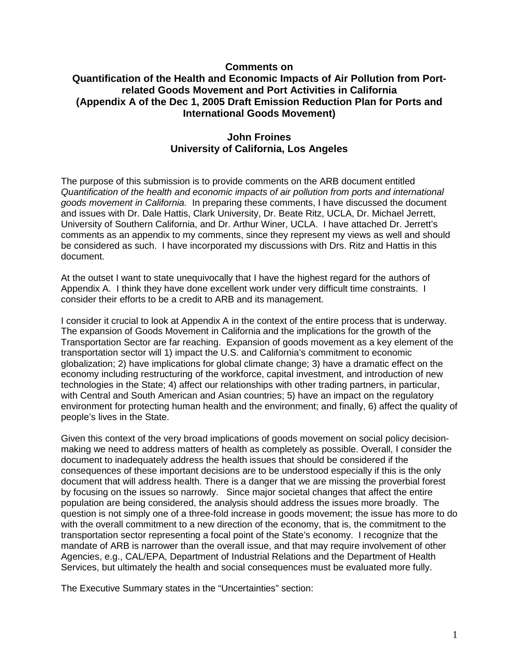## **Comments on Quantification of the Health and Economic Impacts of Air Pollution from Portrelated Goods Movement and Port Activities in California (Appendix A of the Dec 1, 2005 Draft Emission Reduction Plan for Ports and International Goods Movement)**

# **John Froines University of California, Los Angeles**

The purpose of this submission is to provide comments on the ARB document entitled Quantification of the health and economic impacts of air pollution from ports and international goods movement in California. In preparing these comments, I have discussed the document and issues with Dr. Dale Hattis, Clark University, Dr. Beate Ritz, UCLA, Dr. Michael Jerrett, University of Southern California, and Dr. Arthur Winer, UCLA. I have attached Dr. Jerrett's comments as an appendix to my comments, since they represent my views as well and should be considered as such. I have incorporated my discussions with Drs. Ritz and Hattis in this document.

At the outset I want to state unequivocally that I have the highest regard for the authors of Appendix A. I think they have done excellent work under very difficult time constraints. I consider their efforts to be a credit to ARB and its management.

I consider it crucial to look at Appendix A in the context of the entire process that is underway. The expansion of Goods Movement in California and the implications for the growth of the Transportation Sector are far reaching. Expansion of goods movement as a key element of the transportation sector will 1) impact the U.S. and California's commitment to economic globalization; 2) have implications for global climate change; 3) have a dramatic effect on the economy including restructuring of the workforce, capital investment, and introduction of new technologies in the State; 4) affect our relationships with other trading partners, in particular, with Central and South American and Asian countries; 5) have an impact on the regulatory environment for protecting human health and the environment; and finally, 6) affect the quality of people's lives in the State.

Given this context of the very broad implications of goods movement on social policy decisionmaking we need to address matters of health as completely as possible. Overall, I consider the document to inadequately address the health issues that should be considered if the consequences of these important decisions are to be understood especially if this is the only document that will address health. There is a danger that we are missing the proverbial forest by focusing on the issues so narrowly. Since major societal changes that affect the entire population are being considered, the analysis should address the issues more broadly. The question is not simply one of a three-fold increase in goods movement; the issue has more to do with the overall commitment to a new direction of the economy, that is, the commitment to the transportation sector representing a focal point of the State's economy. I recognize that the mandate of ARB is narrower than the overall issue, and that may require involvement of other Agencies, e.g., CAL/EPA, Department of Industrial Relations and the Department of Health Services, but ultimately the health and social consequences must be evaluated more fully.

The Executive Summary states in the "Uncertainties" section: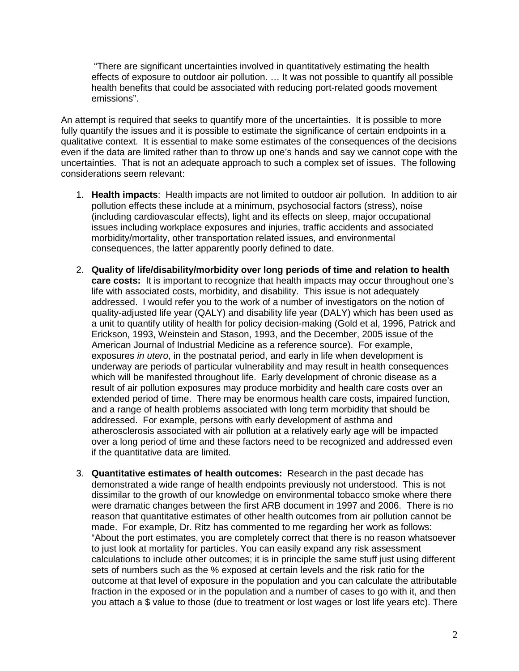"There are significant uncertainties involved in quantitatively estimating the health effects of exposure to outdoor air pollution. … It was not possible to quantify all possible health benefits that could be associated with reducing port-related goods movement emissions".

An attempt is required that seeks to quantify more of the uncertainties. It is possible to more fully quantify the issues and it is possible to estimate the significance of certain endpoints in a qualitative context. It is essential to make some estimates of the consequences of the decisions even if the data are limited rather than to throw up one's hands and say we cannot cope with the uncertainties. That is not an adequate approach to such a complex set of issues. The following considerations seem relevant:

- 1. **Health impacts**: Health impacts are not limited to outdoor air pollution. In addition to air pollution effects these include at a minimum, psychosocial factors (stress), noise (including cardiovascular effects), light and its effects on sleep, major occupational issues including workplace exposures and injuries, traffic accidents and associated morbidity/mortality, other transportation related issues, and environmental consequences, the latter apparently poorly defined to date.
- 2. **Quality of life/disability/morbidity over long periods of time and relation to health care costs:** It is important to recognize that health impacts may occur throughout one's life with associated costs, morbidity, and disability. This issue is not adequately addressed. I would refer you to the work of a number of investigators on the notion of quality-adjusted life year (QALY) and disability life year (DALY) which has been used as a unit to quantify utility of health for policy decision-making (Gold et al, 1996, Patrick and Erickson, 1993, Weinstein and Stason, 1993, and the December, 2005 issue of the American Journal of Industrial Medicine as a reference source). For example, exposures *in utero*, in the postnatal period, and early in life when development is underway are periods of particular vulnerability and may result in health consequences which will be manifested throughout life. Early development of chronic disease as a result of air pollution exposures may produce morbidity and health care costs over an extended period of time. There may be enormous health care costs, impaired function, and a range of health problems associated with long term morbidity that should be addressed. For example, persons with early development of asthma and atherosclerosis associated with air pollution at a relatively early age will be impacted over a long period of time and these factors need to be recognized and addressed even if the quantitative data are limited.
- 3. **Quantitative estimates of health outcomes:** Research in the past decade has demonstrated a wide range of health endpoints previously not understood. This is not dissimilar to the growth of our knowledge on environmental tobacco smoke where there were dramatic changes between the first ARB document in 1997 and 2006. There is no reason that quantitative estimates of other health outcomes from air pollution cannot be made. For example, Dr. Ritz has commented to me regarding her work as follows: "About the port estimates, you are completely correct that there is no reason whatsoever to just look at mortality for particles. You can easily expand any risk assessment calculations to include other outcomes; it is in principle the same stuff just using different sets of numbers such as the % exposed at certain levels and the risk ratio for the outcome at that level of exposure in the population and you can calculate the attributable fraction in the exposed or in the population and a number of cases to go with it, and then you attach a \$ value to those (due to treatment or lost wages or lost life years etc). There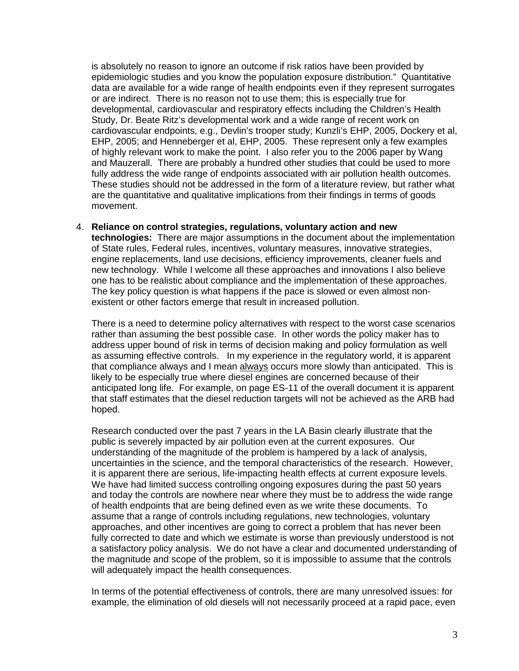is absolutely no reason to ignore an outcome if risk ratios have been provided by epidemiologic studies and you know the population exposure distribution." Quantitative data are available for a wide range of health endpoints even if they represent surrogates or are indirect. There is no reason not to use them; this is especially true for developmental, cardiovascular and respiratory effects including the Children's Health Study, Dr. Beate Ritz's developmental work and a wide range of recent work on cardiovascular endpoints, e.g., Devlin's trooper study; Kunzli's EHP, 2005, Dockery et al, EHP, 2005; and Henneberger et al, EHP, 2005. These represent only a few examples of highly relevant work to make the point. I also refer you to the 2006 paper by Wang and Mauzerall. There are probably a hundred other studies that could be used to more fully address the wide range of endpoints associated with air pollution health outcomes. These studies should not be addressed in the form of a literature review, but rather what are the quantitative and qualitative implications from their findings in terms of goods movement.

4. **Reliance on control strategies, regulations, voluntary action and new technologies:** There are major assumptions in the document about the implementation of State rules, Federal rules, incentives, voluntary measures, innovative strategies, engine replacements, land use decisions, efficiency improvements, cleaner fuels and new technology. While I welcome all these approaches and innovations I also believe one has to be realistic about compliance and the implementation of these approaches. The key policy question is what happens if the pace is slowed or even almost nonexistent or other factors emerge that result in increased pollution.

There is a need to determine policy alternatives with respect to the worst case scenarios rather than assuming the best possible case. In other words the policy maker has to address upper bound of risk in terms of decision making and policy formulation as well as assuming effective controls. In my experience in the regulatory world, it is apparent that compliance always and I mean always occurs more slowly than anticipated. This is likely to be especially true where diesel engines are concerned because of their anticipated long life. For example, on page ES-11 of the overall document it is apparent that staff estimates that the diesel reduction targets will not be achieved as the ARB had hoped.

Research conducted over the past 7 years in the LA Basin clearly illustrate that the public is severely impacted by air pollution even at the current exposures. Our understanding of the magnitude of the problem is hampered by a lack of analysis, uncertainties in the science, and the temporal characteristics of the research. However, it is apparent there are serious, life-impacting health effects at current exposure levels. We have had limited success controlling ongoing exposures during the past 50 years and today the controls are nowhere near where they must be to address the wide range of health endpoints that are being defined even as we write these documents. To assume that a range of controls including regulations, new technologies, voluntary approaches, and other incentives are going to correct a problem that has never been fully corrected to date and which we estimate is worse than previously understood is not a satisfactory policy analysis. We do not have a clear and documented understanding of the magnitude and scope of the problem, so it is impossible to assume that the controls will adequately impact the health consequences.

 In terms of the potential effectiveness of controls, there are many unresolved issues: for example, the elimination of old diesels will not necessarily proceed at a rapid pace, even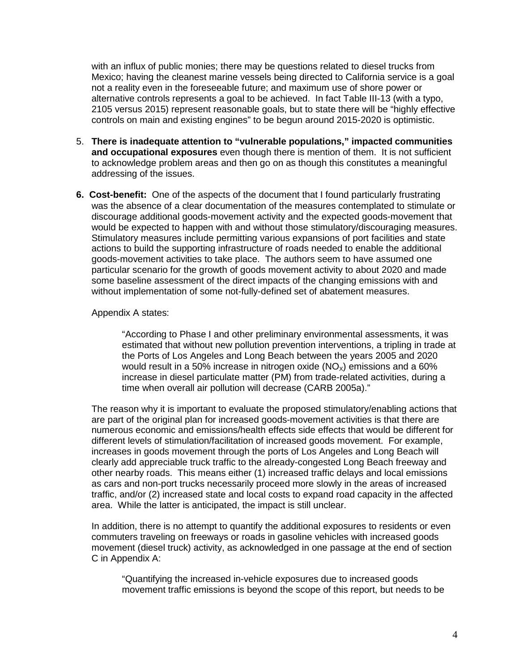with an influx of public monies; there may be questions related to diesel trucks from Mexico; having the cleanest marine vessels being directed to California service is a goal not a reality even in the foreseeable future; and maximum use of shore power or alternative controls represents a goal to be achieved. In fact Table III-13 (with a typo, 2105 versus 2015) represent reasonable goals, but to state there will be "highly effective controls on main and existing engines" to be begun around 2015-2020 is optimistic.

- 5. **There is inadequate attention to "vulnerable populations," impacted communities and occupational exposures** even though there is mention of them. It is not sufficient to acknowledge problem areas and then go on as though this constitutes a meaningful addressing of the issues.
- **6. Cost-benefit:** One of the aspects of the document that I found particularly frustrating was the absence of a clear documentation of the measures contemplated to stimulate or discourage additional goods-movement activity and the expected goods-movement that would be expected to happen with and without those stimulatory/discouraging measures. Stimulatory measures include permitting various expansions of port facilities and state actions to build the supporting infrastructure of roads needed to enable the additional goods-movement activities to take place. The authors seem to have assumed one particular scenario for the growth of goods movement activity to about 2020 and made some baseline assessment of the direct impacts of the changing emissions with and without implementation of some not-fully-defined set of abatement measures.

#### Appendix A states:

"According to Phase I and other preliminary environmental assessments, it was estimated that without new pollution prevention interventions, a tripling in trade at the Ports of Los Angeles and Long Beach between the years 2005 and 2020 would result in a 50% increase in nitrogen oxide  $(NO_x)$  emissions and a 60% increase in diesel particulate matter (PM) from trade-related activities, during a time when overall air pollution will decrease (CARB 2005a)."

The reason why it is important to evaluate the proposed stimulatory/enabling actions that are part of the original plan for increased goods-movement activities is that there are numerous economic and emissions/health effects side effects that would be different for different levels of stimulation/facilitation of increased goods movement. For example, increases in goods movement through the ports of Los Angeles and Long Beach will clearly add appreciable truck traffic to the already-congested Long Beach freeway and other nearby roads. This means either (1) increased traffic delays and local emissions as cars and non-port trucks necessarily proceed more slowly in the areas of increased traffic, and/or (2) increased state and local costs to expand road capacity in the affected area. While the latter is anticipated, the impact is still unclear.

In addition, there is no attempt to quantify the additional exposures to residents or even commuters traveling on freeways or roads in gasoline vehicles with increased goods movement (diesel truck) activity, as acknowledged in one passage at the end of section C in Appendix A:

"Quantifying the increased in-vehicle exposures due to increased goods movement traffic emissions is beyond the scope of this report, but needs to be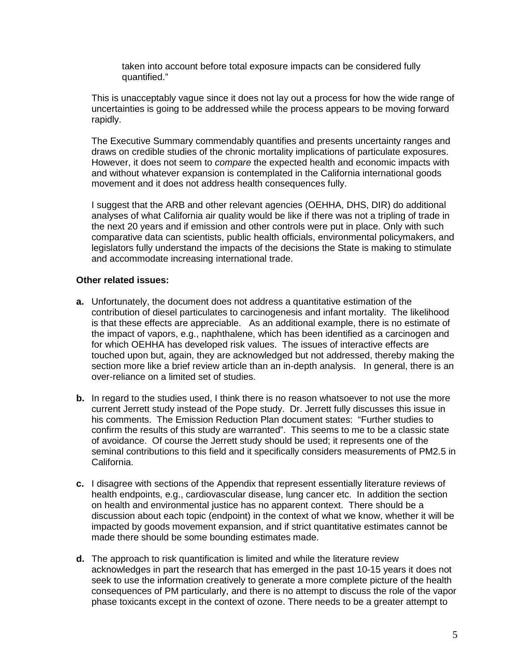taken into account before total exposure impacts can be considered fully quantified."

This is unacceptably vague since it does not lay out a process for how the wide range of uncertainties is going to be addressed while the process appears to be moving forward rapidly.

The Executive Summary commendably quantifies and presents uncertainty ranges and draws on credible studies of the chronic mortality implications of particulate exposures. However, it does not seem to compare the expected health and economic impacts with and without whatever expansion is contemplated in the California international goods movement and it does not address health consequences fully.

I suggest that the ARB and other relevant agencies (OEHHA, DHS, DIR) do additional analyses of what California air quality would be like if there was not a tripling of trade in the next 20 years and if emission and other controls were put in place. Only with such comparative data can scientists, public health officials, environmental policymakers, and legislators fully understand the impacts of the decisions the State is making to stimulate and accommodate increasing international trade.

## **Other related issues:**

- **a.** Unfortunately, the document does not address a quantitative estimation of the contribution of diesel particulates to carcinogenesis and infant mortality. The likelihood is that these effects are appreciable. As an additional example, there is no estimate of the impact of vapors, e.g., naphthalene, which has been identified as a carcinogen and for which OEHHA has developed risk values. The issues of interactive effects are touched upon but, again, they are acknowledged but not addressed, thereby making the section more like a brief review article than an in-depth analysis. In general, there is an over-reliance on a limited set of studies.
- **b.** In regard to the studies used, I think there is no reason whatsoever to not use the more current Jerrett study instead of the Pope study. Dr. Jerrett fully discusses this issue in his comments. The Emission Reduction Plan document states: "Further studies to confirm the results of this study are warranted". This seems to me to be a classic state of avoidance. Of course the Jerrett study should be used; it represents one of the seminal contributions to this field and it specifically considers measurements of PM2.5 in California.
- **c.** I disagree with sections of the Appendix that represent essentially literature reviews of health endpoints, e.g., cardiovascular disease, lung cancer etc. In addition the section on health and environmental justice has no apparent context. There should be a discussion about each topic (endpoint) in the context of what we know, whether it will be impacted by goods movement expansion, and if strict quantitative estimates cannot be made there should be some bounding estimates made.
- **d.** The approach to risk quantification is limited and while the literature review acknowledges in part the research that has emerged in the past 10-15 years it does not seek to use the information creatively to generate a more complete picture of the health consequences of PM particularly, and there is no attempt to discuss the role of the vapor phase toxicants except in the context of ozone. There needs to be a greater attempt to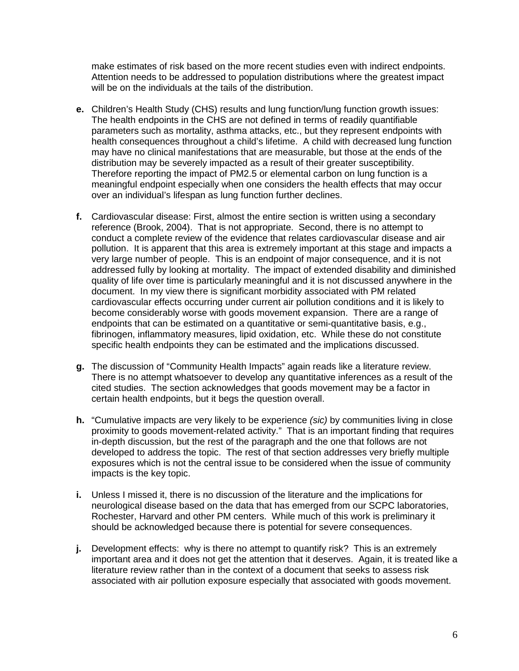make estimates of risk based on the more recent studies even with indirect endpoints. Attention needs to be addressed to population distributions where the greatest impact will be on the individuals at the tails of the distribution.

- **e.** Children's Health Study (CHS) results and lung function/lung function growth issues: The health endpoints in the CHS are not defined in terms of readily quantifiable parameters such as mortality, asthma attacks, etc., but they represent endpoints with health consequences throughout a child's lifetime. A child with decreased lung function may have no clinical manifestations that are measurable, but those at the ends of the distribution may be severely impacted as a result of their greater susceptibility. Therefore reporting the impact of PM2.5 or elemental carbon on lung function is a meaningful endpoint especially when one considers the health effects that may occur over an individual's lifespan as lung function further declines.
- **f.** Cardiovascular disease: First, almost the entire section is written using a secondary reference (Brook, 2004). That is not appropriate. Second, there is no attempt to conduct a complete review of the evidence that relates cardiovascular disease and air pollution. It is apparent that this area is extremely important at this stage and impacts a very large number of people. This is an endpoint of major consequence, and it is not addressed fully by looking at mortality. The impact of extended disability and diminished quality of life over time is particularly meaningful and it is not discussed anywhere in the document. In my view there is significant morbidity associated with PM related cardiovascular effects occurring under current air pollution conditions and it is likely to become considerably worse with goods movement expansion. There are a range of endpoints that can be estimated on a quantitative or semi-quantitative basis, e.g., fibrinogen, inflammatory measures, lipid oxidation, etc. While these do not constitute specific health endpoints they can be estimated and the implications discussed.
- **g.** The discussion of "Community Health Impacts" again reads like a literature review. There is no attempt whatsoever to develop any quantitative inferences as a result of the cited studies. The section acknowledges that goods movement may be a factor in certain health endpoints, but it begs the question overall.
- **h.** "Cumulative impacts are very likely to be experience (sic) by communities living in close proximity to goods movement-related activity." That is an important finding that requires in-depth discussion, but the rest of the paragraph and the one that follows are not developed to address the topic. The rest of that section addresses very briefly multiple exposures which is not the central issue to be considered when the issue of community impacts is the key topic.
- **i.** Unless I missed it, there is no discussion of the literature and the implications for neurological disease based on the data that has emerged from our SCPC laboratories, Rochester, Harvard and other PM centers. While much of this work is preliminary it should be acknowledged because there is potential for severe consequences.
- **j.** Development effects: why is there no attempt to quantify risk? This is an extremely important area and it does not get the attention that it deserves. Again, it is treated like a literature review rather than in the context of a document that seeks to assess risk associated with air pollution exposure especially that associated with goods movement.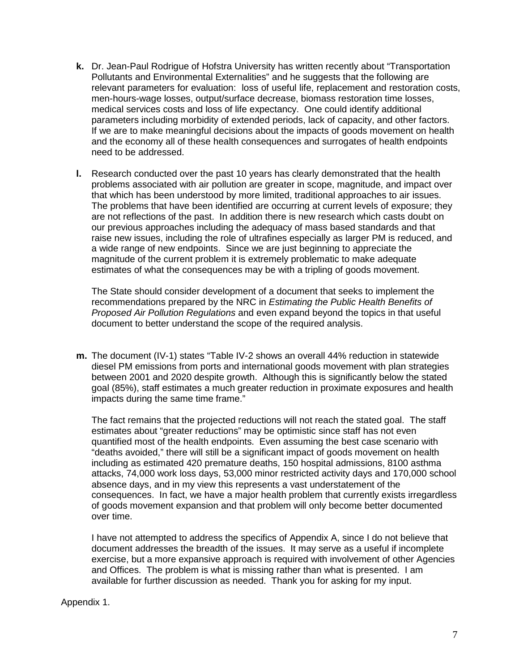- **k.** Dr. Jean-Paul Rodrigue of Hofstra University has written recently about "Transportation Pollutants and Environmental Externalities" and he suggests that the following are relevant parameters for evaluation: loss of useful life, replacement and restoration costs, men-hours-wage losses, output/surface decrease, biomass restoration time losses, medical services costs and loss of life expectancy. One could identify additional parameters including morbidity of extended periods, lack of capacity, and other factors. If we are to make meaningful decisions about the impacts of goods movement on health and the economy all of these health consequences and surrogates of health endpoints need to be addressed.
- **l.** Research conducted over the past 10 years has clearly demonstrated that the health problems associated with air pollution are greater in scope, magnitude, and impact over that which has been understood by more limited, traditional approaches to air issues. The problems that have been identified are occurring at current levels of exposure; they are not reflections of the past. In addition there is new research which casts doubt on our previous approaches including the adequacy of mass based standards and that raise new issues, including the role of ultrafines especially as larger PM is reduced, and a wide range of new endpoints. Since we are just beginning to appreciate the magnitude of the current problem it is extremely problematic to make adequate estimates of what the consequences may be with a tripling of goods movement.

The State should consider development of a document that seeks to implement the recommendations prepared by the NRC in *Estimating the Public Health Benefits of* Proposed Air Pollution Regulations and even expand beyond the topics in that useful document to better understand the scope of the required analysis.

**m.** The document (IV-1) states "Table IV-2 shows an overall 44% reduction in statewide diesel PM emissions from ports and international goods movement with plan strategies between 2001 and 2020 despite growth. Although this is significantly below the stated goal (85%), staff estimates a much greater reduction in proximate exposures and health impacts during the same time frame."

The fact remains that the projected reductions will not reach the stated goal. The staff estimates about "greater reductions" may be optimistic since staff has not even quantified most of the health endpoints. Even assuming the best case scenario with "deaths avoided," there will still be a significant impact of goods movement on health including as estimated 420 premature deaths, 150 hospital admissions, 8100 asthma attacks, 74,000 work loss days, 53,000 minor restricted activity days and 170,000 school absence days, and in my view this represents a vast understatement of the consequences. In fact, we have a major health problem that currently exists irregardless of goods movement expansion and that problem will only become better documented over time.

I have not attempted to address the specifics of Appendix A, since I do not believe that document addresses the breadth of the issues. It may serve as a useful if incomplete exercise, but a more expansive approach is required with involvement of other Agencies and Offices. The problem is what is missing rather than what is presented. I am available for further discussion as needed. Thank you for asking for my input.

#### Appendix 1.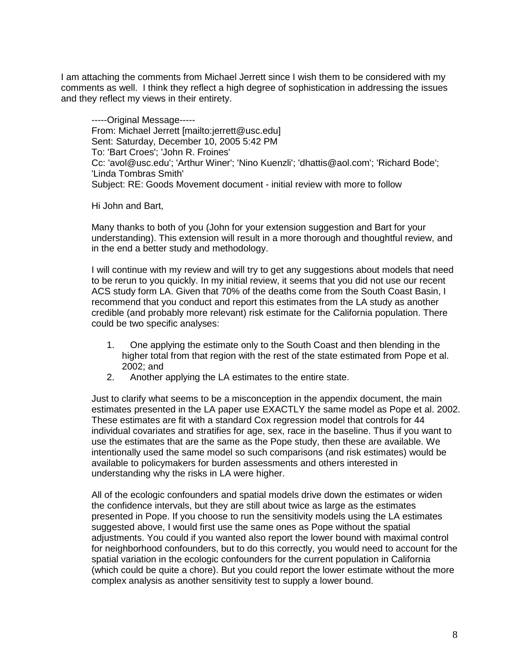I am attaching the comments from Michael Jerrett since I wish them to be considered with my comments as well. I think they reflect a high degree of sophistication in addressing the issues and they reflect my views in their entirety.

-----Original Message----- From: Michael Jerrett [mailto:jerrett@usc.edu] Sent: Saturday, December 10, 2005 5:42 PM To: 'Bart Croes'; 'John R. Froines' Cc: 'avol@usc.edu'; 'Arthur Winer'; 'Nino Kuenzli'; 'dhattis@aol.com'; 'Richard Bode'; 'Linda Tombras Smith' Subject: RE: Goods Movement document - initial review with more to follow

Hi John and Bart,

Many thanks to both of you (John for your extension suggestion and Bart for your understanding). This extension will result in a more thorough and thoughtful review, and in the end a better study and methodology.

I will continue with my review and will try to get any suggestions about models that need to be rerun to you quickly. In my initial review, it seems that you did not use our recent ACS study form LA. Given that 70% of the deaths come from the South Coast Basin, I recommend that you conduct and report this estimates from the LA study as another credible (and probably more relevant) risk estimate for the California population. There could be two specific analyses:

- 1. One applying the estimate only to the South Coast and then blending in the higher total from that region with the rest of the state estimated from Pope et al. 2002; and
- 2. Another applying the LA estimates to the entire state.

Just to clarify what seems to be a misconception in the appendix document, the main estimates presented in the LA paper use EXACTLY the same model as Pope et al. 2002. These estimates are fit with a standard Cox regression model that controls for 44 individual covariates and stratifies for age, sex, race in the baseline. Thus if you want to use the estimates that are the same as the Pope study, then these are available. We intentionally used the same model so such comparisons (and risk estimates) would be available to policymakers for burden assessments and others interested in understanding why the risks in LA were higher.

All of the ecologic confounders and spatial models drive down the estimates or widen the confidence intervals, but they are still about twice as large as the estimates presented in Pope. If you choose to run the sensitivity models using the LA estimates suggested above, I would first use the same ones as Pope without the spatial adjustments. You could if you wanted also report the lower bound with maximal control for neighborhood confounders, but to do this correctly, you would need to account for the spatial variation in the ecologic confounders for the current population in California (which could be quite a chore). But you could report the lower estimate without the more complex analysis as another sensitivity test to supply a lower bound.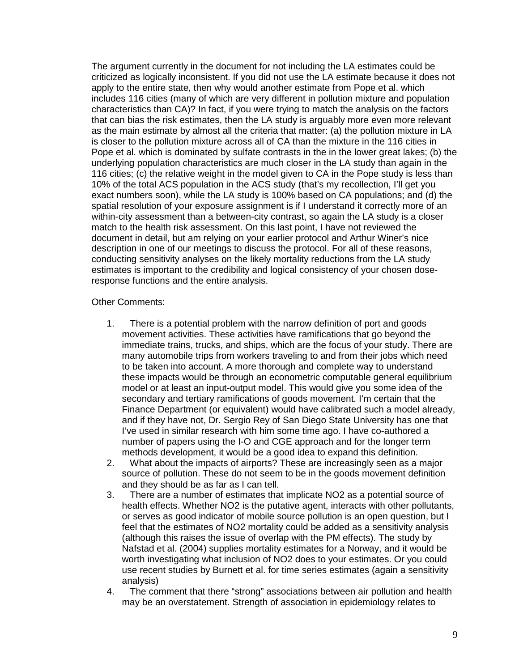The argument currently in the document for not including the LA estimates could be criticized as logically inconsistent. If you did not use the LA estimate because it does not apply to the entire state, then why would another estimate from Pope et al. which includes 116 cities (many of which are very different in pollution mixture and population characteristics than CA)? In fact, if you were trying to match the analysis on the factors that can bias the risk estimates, then the LA study is arguably more even more relevant as the main estimate by almost all the criteria that matter: (a) the pollution mixture in LA is closer to the pollution mixture across all of CA than the mixture in the 116 cities in Pope et al. which is dominated by sulfate contrasts in the in the lower great lakes; (b) the underlying population characteristics are much closer in the LA study than again in the 116 cities; (c) the relative weight in the model given to CA in the Pope study is less than 10% of the total ACS population in the ACS study (that's my recollection, I'll get you exact numbers soon), while the LA study is 100% based on CA populations; and (d) the spatial resolution of your exposure assignment is if I understand it correctly more of an within-city assessment than a between-city contrast, so again the LA study is a closer match to the health risk assessment. On this last point, I have not reviewed the document in detail, but am relying on your earlier protocol and Arthur Winer's nice description in one of our meetings to discuss the protocol. For all of these reasons, conducting sensitivity analyses on the likely mortality reductions from the LA study estimates is important to the credibility and logical consistency of your chosen doseresponse functions and the entire analysis.

## Other Comments:

- 1. There is a potential problem with the narrow definition of port and goods movement activities. These activities have ramifications that go beyond the immediate trains, trucks, and ships, which are the focus of your study. There are many automobile trips from workers traveling to and from their jobs which need to be taken into account. A more thorough and complete way to understand these impacts would be through an econometric computable general equilibrium model or at least an input-output model. This would give you some idea of the secondary and tertiary ramifications of goods movement. I'm certain that the Finance Department (or equivalent) would have calibrated such a model already, and if they have not, Dr. Sergio Rey of San Diego State University has one that I've used in similar research with him some time ago. I have co-authored a number of papers using the I-O and CGE approach and for the longer term methods development, it would be a good idea to expand this definition.
- 2. What about the impacts of airports? These are increasingly seen as a major source of pollution. These do not seem to be in the goods movement definition and they should be as far as I can tell.
- 3. There are a number of estimates that implicate NO2 as a potential source of health effects. Whether NO2 is the putative agent, interacts with other pollutants, or serves as good indicator of mobile source pollution is an open question, but I feel that the estimates of NO2 mortality could be added as a sensitivity analysis (although this raises the issue of overlap with the PM effects). The study by Nafstad et al. (2004) supplies mortality estimates for a Norway, and it would be worth investigating what inclusion of NO2 does to your estimates. Or you could use recent studies by Burnett et al. for time series estimates (again a sensitivity analysis)
- 4. The comment that there "strong" associations between air pollution and health may be an overstatement. Strength of association in epidemiology relates to